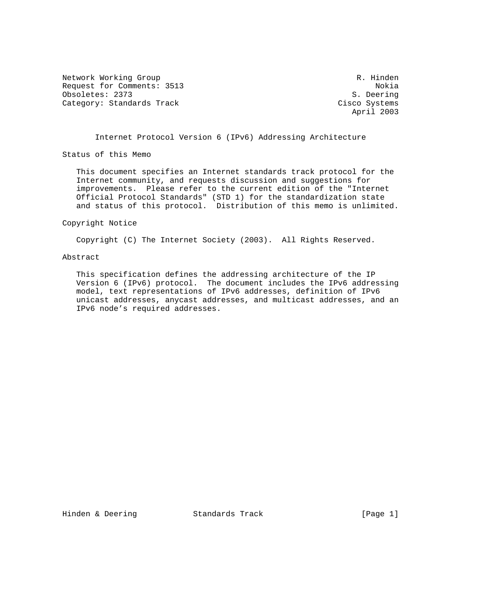Network Working Group and the contract of the contract of the R. Hinden Request for Comments: 3513 Nokia Obsoletes: 2373 S. Deering Category: Standards Track Cisco Systems

April 2003

Internet Protocol Version 6 (IPv6) Addressing Architecture

Status of this Memo

 This document specifies an Internet standards track protocol for the Internet community, and requests discussion and suggestions for improvements. Please refer to the current edition of the "Internet Official Protocol Standards" (STD 1) for the standardization state and status of this protocol. Distribution of this memo is unlimited.

Copyright Notice

Copyright (C) The Internet Society (2003). All Rights Reserved.

### Abstract

 This specification defines the addressing architecture of the IP Version 6 (IPv6) protocol. The document includes the IPv6 addressing model, text representations of IPv6 addresses, definition of IPv6 unicast addresses, anycast addresses, and multicast addresses, and an IPv6 node's required addresses.

Hinden & Deering Standards Track [Page 1]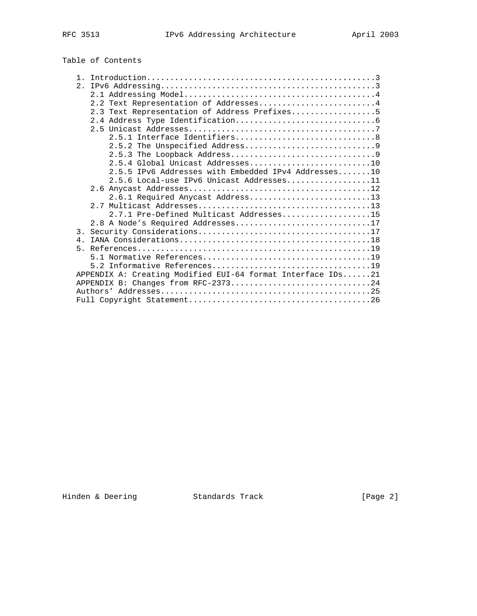| Table of Contents |  |  |  |
|-------------------|--|--|--|
|-------------------|--|--|--|

| 1 <sup>1</sup>                                              |
|-------------------------------------------------------------|
| 2 <sup>1</sup>                                              |
|                                                             |
| 2.2 Text Representation of Addresses4                       |
| 2.3 Text Representation of Address Prefixes5                |
|                                                             |
|                                                             |
|                                                             |
|                                                             |
|                                                             |
| 2.5.4 Global Unicast Addresses10                            |
| 2.5.5 IPv6 Addresses with Embedded IPv4 Addresses10         |
| 2.5.6 Local-use IPv6 Unicast Addresses11                    |
|                                                             |
| 2.6.1 Required Anycast Address13                            |
|                                                             |
| 2.7.1 Pre-Defined Multicast Addresses15                     |
| 2.8 A Node's Required Addresses17                           |
| $\overline{3}$ .                                            |
| 4 <sub>1</sub>                                              |
|                                                             |
|                                                             |
|                                                             |
| APPENDIX A: Creating Modified EUI-64 format Interface IDs21 |
| APPENDIX B: Changes from RFC-237324                         |
|                                                             |
|                                                             |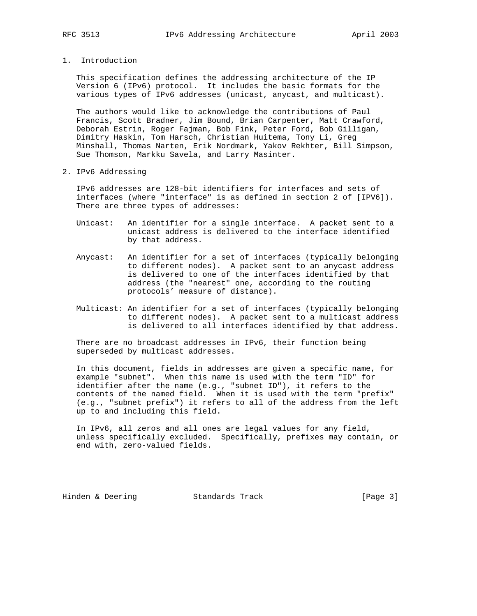1. Introduction

 This specification defines the addressing architecture of the IP Version 6 (IPv6) protocol. It includes the basic formats for the various types of IPv6 addresses (unicast, anycast, and multicast).

 The authors would like to acknowledge the contributions of Paul Francis, Scott Bradner, Jim Bound, Brian Carpenter, Matt Crawford, Deborah Estrin, Roger Fajman, Bob Fink, Peter Ford, Bob Gilligan, Dimitry Haskin, Tom Harsch, Christian Huitema, Tony Li, Greg Minshall, Thomas Narten, Erik Nordmark, Yakov Rekhter, Bill Simpson, Sue Thomson, Markku Savela, and Larry Masinter.

2. IPv6 Addressing

 IPv6 addresses are 128-bit identifiers for interfaces and sets of interfaces (where "interface" is as defined in section 2 of [IPV6]). There are three types of addresses:

- Unicast: An identifier for a single interface. A packet sent to a unicast address is delivered to the interface identified by that address.
- Anycast: An identifier for a set of interfaces (typically belonging to different nodes). A packet sent to an anycast address is delivered to one of the interfaces identified by that address (the "nearest" one, according to the routing protocols' measure of distance).
- Multicast: An identifier for a set of interfaces (typically belonging to different nodes). A packet sent to a multicast address is delivered to all interfaces identified by that address.

 There are no broadcast addresses in IPv6, their function being superseded by multicast addresses.

 In this document, fields in addresses are given a specific name, for example "subnet". When this name is used with the term "ID" for identifier after the name (e.g., "subnet ID"), it refers to the contents of the named field. When it is used with the term "prefix" (e.g., "subnet prefix") it refers to all of the address from the left up to and including this field.

 In IPv6, all zeros and all ones are legal values for any field, unless specifically excluded. Specifically, prefixes may contain, or end with, zero-valued fields.

Hinden & Deering Standards Track [Page 3]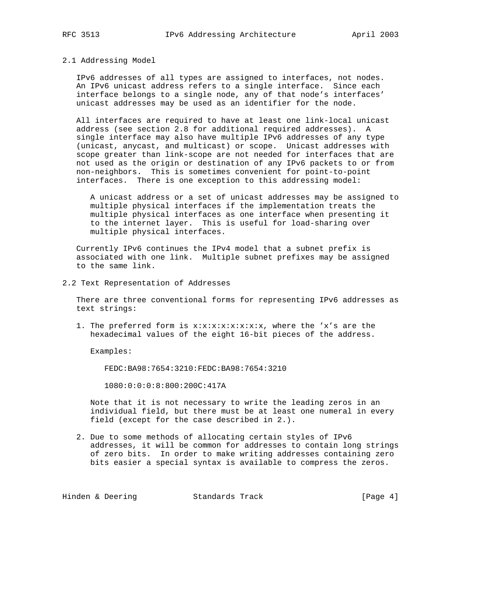#### 2.1 Addressing Model

 IPv6 addresses of all types are assigned to interfaces, not nodes. An IPv6 unicast address refers to a single interface. Since each interface belongs to a single node, any of that node's interfaces' unicast addresses may be used as an identifier for the node.

 All interfaces are required to have at least one link-local unicast address (see section 2.8 for additional required addresses). A single interface may also have multiple IPv6 addresses of any type (unicast, anycast, and multicast) or scope. Unicast addresses with scope greater than link-scope are not needed for interfaces that are not used as the origin or destination of any IPv6 packets to or from non-neighbors. This is sometimes convenient for point-to-point interfaces. There is one exception to this addressing model:

 A unicast address or a set of unicast addresses may be assigned to multiple physical interfaces if the implementation treats the multiple physical interfaces as one interface when presenting it to the internet layer. This is useful for load-sharing over multiple physical interfaces.

 Currently IPv6 continues the IPv4 model that a subnet prefix is associated with one link. Multiple subnet prefixes may be assigned to the same link.

2.2 Text Representation of Addresses

 There are three conventional forms for representing IPv6 addresses as text strings:

 1. The preferred form is x:x:x:x:x:x:x:x, where the 'x's are the hexadecimal values of the eight 16-bit pieces of the address.

Examples:

FEDC:BA98:7654:3210:FEDC:BA98:7654:3210

1080:0:0:0:8:800:200C:417A

 Note that it is not necessary to write the leading zeros in an individual field, but there must be at least one numeral in every field (except for the case described in 2.).

 2. Due to some methods of allocating certain styles of IPv6 addresses, it will be common for addresses to contain long strings of zero bits. In order to make writing addresses containing zero bits easier a special syntax is available to compress the zeros.

Hinden & Deering Standards Track [Page 4]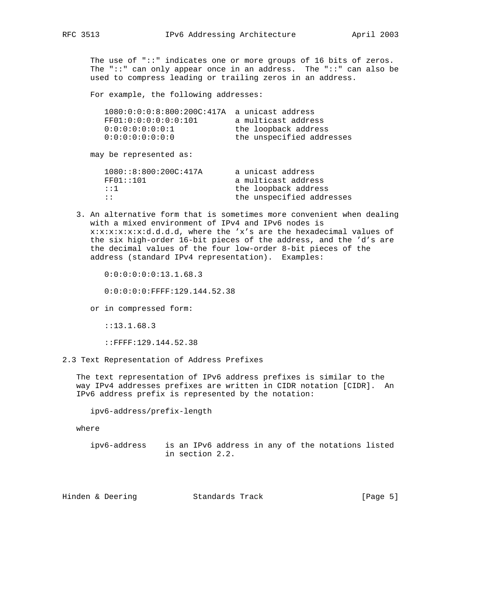The use of "::" indicates one or more groups of 16 bits of zeros. The "::" can only appear once in an address. The "::" can also be used to compress leading or trailing zeros in an address.

For example, the following addresses:

| $1080:0:0:0:8:800:200C:417A$ a unicast address |                           |
|------------------------------------------------|---------------------------|
| FF01:0:0:0:0:0:0:0:101                         | a multicast address       |
| 0:0:0:0:0:0:0:0:1                              | the loopback address      |
| 0:0:0:0:0:0:0:0:0                              | the unspecified addresses |
|                                                |                           |

may be represented as:

| 1080::8::800::200C::417A | a unicast address         |
|--------------------------|---------------------------|
| FF01::101                | a multicast address       |
| $\mathbf{1}$ : 1         | the loopback address      |
| $\cdot$ :                | the unspecified addresses |
|                          |                           |

 3. An alternative form that is sometimes more convenient when dealing with a mixed environment of IPv4 and IPv6 nodes is x:x:x:x:x:x:d.d.d.d, where the 'x's are the hexadecimal values of the six high-order 16-bit pieces of the address, and the 'd's are the decimal values of the four low-order 8-bit pieces of the address (standard IPv4 representation). Examples:

0:0:0:0:0:0:13.1.68.3

0:0:0:0:0:FFFF:129.144.52.38

or in compressed form:

::13.1.68.3

::FFFF:129.144.52.38

2.3 Text Representation of Address Prefixes

 The text representation of IPv6 address prefixes is similar to the way IPv4 addresses prefixes are written in CIDR notation [CIDR]. An IPv6 address prefix is represented by the notation:

ipv6-address/prefix-length

where

 ipv6-address is an IPv6 address in any of the notations listed in section 2.2.

| Hinden & Deering<br>Standards Track | [Page $5$ ] |
|-------------------------------------|-------------|
|-------------------------------------|-------------|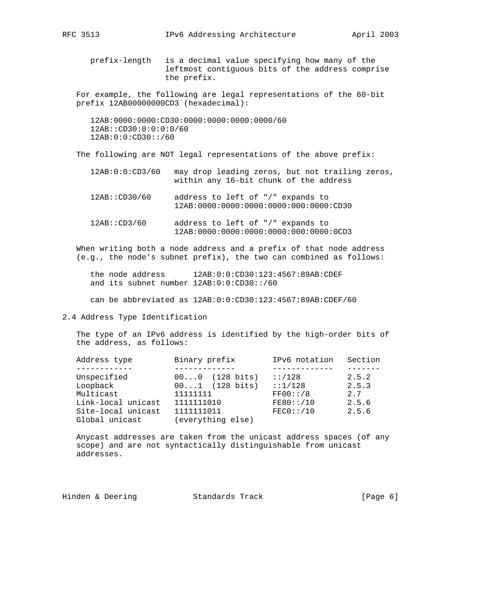prefix-length is a decimal value specifying how many of the leftmost contiguous bits of the address comprise the prefix.

 For example, the following are legal representations of the 60-bit prefix 12AB00000000CD3 (hexadecimal):

 12AB:0000:0000:CD30:0000:0000:0000:0000/60 12AB::CD30:0:0:0:0/60 12AB:0:0:CD30::/60

The following are NOT legal representations of the above prefix:

 12AB:0:0:CD3/60 may drop leading zeros, but not trailing zeros, within any 16-bit chunk of the address

- 12AB::CD30/60 address to left of "/" expands to 12AB:0000:0000:0000:0000:000:0000:CD30
- 12AB::CD3/60 address to left of "/" expands to 12AB:0000:0000:0000:0000:000:0000:0CD3

 When writing both a node address and a prefix of that node address (e.g., the node's subnet prefix), the two can combined as follows:

 the node address 12AB:0:0:CD30:123:4567:89AB:CDEF and its subnet number 12AB:0:0:CD30::/60

can be abbreviated as 12AB:0:0:CD30:123:4567:89AB:CDEF/60

### 2.4 Address Type Identification

 The type of an IPv6 address is identified by the high-order bits of the address, as follows:

| Address type       | Binary prefix     | IPv6 notation | Section |
|--------------------|-------------------|---------------|---------|
|                    |                   |               |         |
| Unspecified        | $000$ (128 bits)  | : : /128      | 2.5.2   |
| Loopback           | $001$ (128 bits)  | : 1/128       | 2.5.3   |
| Multicast          | 11111111          | FF00::/8      | 2.7     |
| Link-local unicast | 1111111010        | FE80:'/10     | 2.5.6   |
| Site-local unicast | 1111111011        | FEC0:'/10     | 2.5.6   |
| Global unicast     | (everything else) |               |         |

 Anycast addresses are taken from the unicast address spaces (of any scope) and are not syntactically distinguishable from unicast addresses.

| Hinden & Deering<br>Standards Track | [Page 6] |
|-------------------------------------|----------|
|-------------------------------------|----------|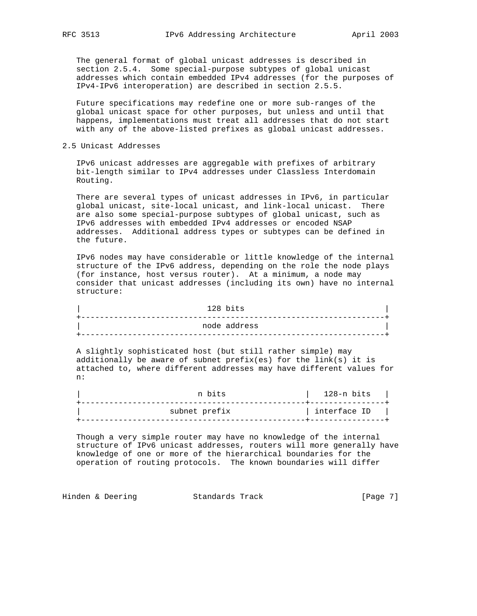The general format of global unicast addresses is described in section 2.5.4. Some special-purpose subtypes of global unicast addresses which contain embedded IPv4 addresses (for the purposes of IPv4-IPv6 interoperation) are described in section 2.5.5.

 Future specifications may redefine one or more sub-ranges of the global unicast space for other purposes, but unless and until that happens, implementations must treat all addresses that do not start with any of the above-listed prefixes as global unicast addresses.

2.5 Unicast Addresses

 IPv6 unicast addresses are aggregable with prefixes of arbitrary bit-length similar to IPv4 addresses under Classless Interdomain Routing.

 There are several types of unicast addresses in IPv6, in particular global unicast, site-local unicast, and link-local unicast. There are also some special-purpose subtypes of global unicast, such as IPv6 addresses with embedded IPv4 addresses or encoded NSAP addresses. Additional address types or subtypes can be defined in the future.

 IPv6 nodes may have considerable or little knowledge of the internal structure of the IPv6 address, depending on the role the node plays (for instance, host versus router). At a minimum, a node may consider that unicast addresses (including its own) have no internal structure:

| 128 bits     |
|--------------|
| node address |
|              |

 A slightly sophisticated host (but still rather simple) may additionally be aware of subnet prefix(es) for the link(s) it is attached to, where different addresses may have different values for n:

| n bits        | 128-n bits     |
|---------------|----------------|
| subnet prefix | ' interface ID |
|               |                |

 Though a very simple router may have no knowledge of the internal structure of IPv6 unicast addresses, routers will more generally have knowledge of one or more of the hierarchical boundaries for the operation of routing protocols. The known boundaries will differ

Hinden & Deering Standards Track [Page 7]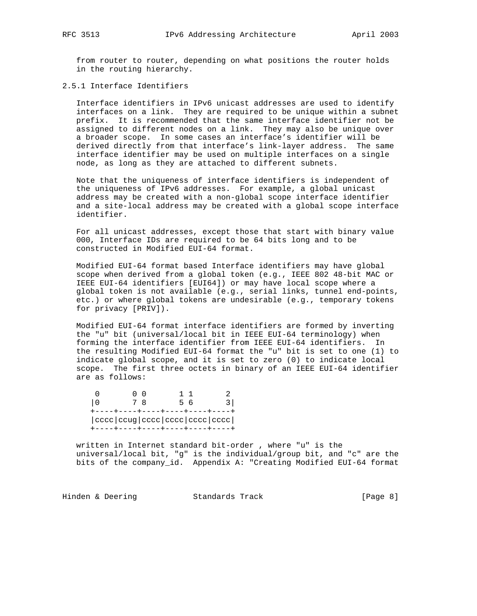from router to router, depending on what positions the router holds in the routing hierarchy.

2.5.1 Interface Identifiers

 Interface identifiers in IPv6 unicast addresses are used to identify interfaces on a link. They are required to be unique within a subnet prefix. It is recommended that the same interface identifier not be assigned to different nodes on a link. They may also be unique over a broader scope. In some cases an interface's identifier will be derived directly from that interface's link-layer address. The same interface identifier may be used on multiple interfaces on a single node, as long as they are attached to different subnets.

 Note that the uniqueness of interface identifiers is independent of the uniqueness of IPv6 addresses. For example, a global unicast address may be created with a non-global scope interface identifier and a site-local address may be created with a global scope interface identifier.

 For all unicast addresses, except those that start with binary value 000, Interface IDs are required to be 64 bits long and to be constructed in Modified EUI-64 format.

 Modified EUI-64 format based Interface identifiers may have global scope when derived from a global token (e.g., IEEE 802 48-bit MAC or IEEE EUI-64 identifiers [EUI64]) or may have local scope where a global token is not available (e.g., serial links, tunnel end-points, etc.) or where global tokens are undesirable (e.g., temporary tokens for privacy [PRIV]).

 Modified EUI-64 format interface identifiers are formed by inverting the "u" bit (universal/local bit in IEEE EUI-64 terminology) when forming the interface identifier from IEEE EUI-64 identifiers. In the resulting Modified EUI-64 format the "u" bit is set to one (1) to indicate global scope, and it is set to zero (0) to indicate local scope. The first three octets in binary of an IEEE EUI-64 identifier are as follows:

0 0 0 0 1 1 2 |0 7 8 5 6 3| +----+----+----+----+----+----+ |cccc|ccug|cccc|cccc|cccc|cccc| +----+----+----+----+----+----+

 written in Internet standard bit-order , where "u" is the universal/local bit, "g" is the individual/group bit, and "c" are the bits of the company\_id. Appendix A: "Creating Modified EUI-64 format

Hinden & Deering Standards Track [Page 8]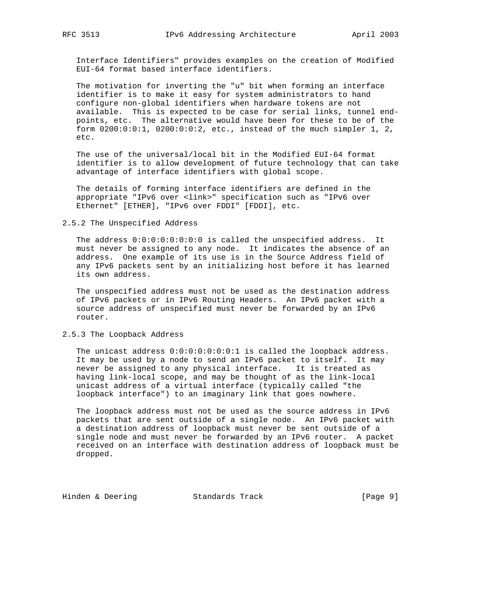Interface Identifiers" provides examples on the creation of Modified EUI-64 format based interface identifiers.

 The motivation for inverting the "u" bit when forming an interface identifier is to make it easy for system administrators to hand configure non-global identifiers when hardware tokens are not available. This is expected to be case for serial links, tunnel end points, etc. The alternative would have been for these to be of the form 0200:0:0:1, 0200:0:0:2, etc., instead of the much simpler 1, 2, etc.

 The use of the universal/local bit in the Modified EUI-64 format identifier is to allow development of future technology that can take advantage of interface identifiers with global scope.

 The details of forming interface identifiers are defined in the appropriate "IPv6 over <link>" specification such as "IPv6 over Ethernet" [ETHER], "IPv6 over FDDI" [FDDI], etc.

2.5.2 The Unspecified Address

 The address 0:0:0:0:0:0:0:0 is called the unspecified address. It must never be assigned to any node. It indicates the absence of an address. One example of its use is in the Source Address field of any IPv6 packets sent by an initializing host before it has learned its own address.

 The unspecified address must not be used as the destination address of IPv6 packets or in IPv6 Routing Headers. An IPv6 packet with a source address of unspecified must never be forwarded by an IPv6 router.

#### 2.5.3 The Loopback Address

 The unicast address 0:0:0:0:0:0:0:1 is called the loopback address. It may be used by a node to send an IPv6 packet to itself. It may never be assigned to any physical interface. It is treated as having link-local scope, and may be thought of as the link-local unicast address of a virtual interface (typically called "the loopback interface") to an imaginary link that goes nowhere.

 The loopback address must not be used as the source address in IPv6 packets that are sent outside of a single node. An IPv6 packet with a destination address of loopback must never be sent outside of a single node and must never be forwarded by an IPv6 router. A packet received on an interface with destination address of loopback must be dropped.

Hinden & Deering Standards Track [Page 9]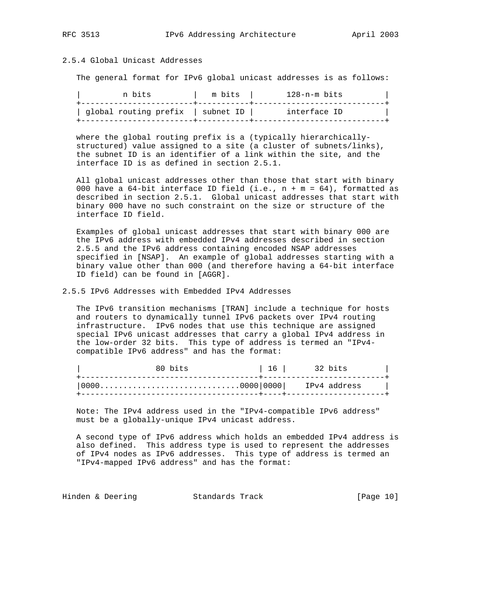# 2.5.4 Global Unicast Addresses

The general format for IPv6 global unicast addresses is as follows:

| n bits                            | m bits | 128-n-m bits |  |
|-----------------------------------|--------|--------------|--|
| qlobal routing prefix   subnet ID |        | interface ID |  |

where the global routing prefix is a (typically hierarchically structured) value assigned to a site (a cluster of subnets/links), the subnet ID is an identifier of a link within the site, and the interface ID is as defined in section 2.5.1.

 All global unicast addresses other than those that start with binary 000 have a 64-bit interface ID field (i.e.,  $n + m = 64$ ), formatted as described in section 2.5.1. Global unicast addresses that start with binary 000 have no such constraint on the size or structure of the interface ID field.

 Examples of global unicast addresses that start with binary 000 are the IPv6 address with embedded IPv4 addresses described in section 2.5.5 and the IPv6 address containing encoded NSAP addresses specified in [NSAP]. An example of global addresses starting with a binary value other than 000 (and therefore having a 64-bit interface ID field) can be found in [AGGR].

#### 2.5.5 IPv6 Addresses with Embedded IPv4 Addresses

 The IPv6 transition mechanisms [TRAN] include a technique for hosts and routers to dynamically tunnel IPv6 packets over IPv4 routing infrastructure. IPv6 nodes that use this technique are assigned special IPv6 unicast addresses that carry a global IPv4 address in the low-order 32 bits. This type of address is termed an "IPv4 compatible IPv6 address" and has the format:

|        | 80 bits                 | 16 I | 32 bits |  |
|--------|-------------------------|------|---------|--|
| . 0000 | 0000 0000  IPv4 address |      |         |  |

 Note: The IPv4 address used in the "IPv4-compatible IPv6 address" must be a globally-unique IPv4 unicast address.

 A second type of IPv6 address which holds an embedded IPv4 address is also defined. This address type is used to represent the addresses of IPv4 nodes as IPv6 addresses. This type of address is termed an "IPv4-mapped IPv6 address" and has the format:

Hinden & Deering Standards Track [Page 10]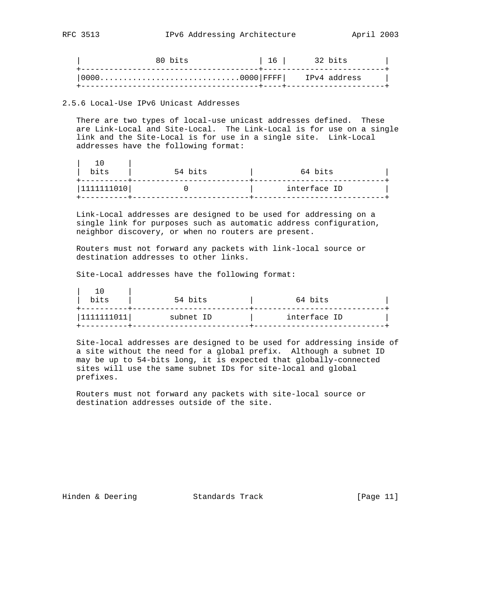| 80 hits                          | 16 | 32 bits |
|----------------------------------|----|---------|
| 0000 FFFF  IPv4 address<br>'0000 |    |         |

2.5.6 Local-Use IPv6 Unicast Addresses

 There are two types of local-use unicast addresses defined. These are Link-Local and Site-Local. The Link-Local is for use on a single link and the Site-Local is for use in a single site. Link-Local addresses have the following format:

| bits       | 54 bits | 64 bits      |  |
|------------|---------|--------------|--|
| 1111111010 |         | interface ID |  |

 Link-Local addresses are designed to be used for addressing on a single link for purposes such as automatic address configuration, neighbor discovery, or when no routers are present.

 Routers must not forward any packets with link-local source or destination addresses to other links.

Site-Local addresses have the following format:

| bits           | 54 bits   | 64 bits      |  |
|----------------|-----------|--------------|--|
| ا 1111111011 ا | subnet ID | interface ID |  |

 Site-local addresses are designed to be used for addressing inside of a site without the need for a global prefix. Although a subnet ID may be up to 54-bits long, it is expected that globally-connected sites will use the same subnet IDs for site-local and global prefixes.

 Routers must not forward any packets with site-local source or destination addresses outside of the site.

Hinden & Deering Standards Track [Page 11]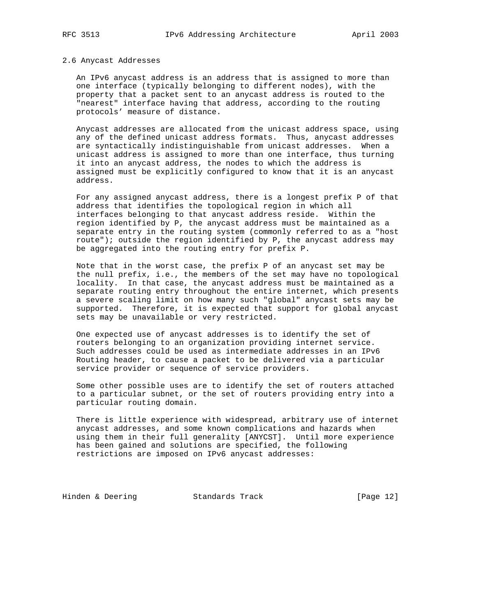#### 2.6 Anycast Addresses

 An IPv6 anycast address is an address that is assigned to more than one interface (typically belonging to different nodes), with the property that a packet sent to an anycast address is routed to the "nearest" interface having that address, according to the routing protocols' measure of distance.

 Anycast addresses are allocated from the unicast address space, using any of the defined unicast address formats. Thus, anycast addresses are syntactically indistinguishable from unicast addresses. When a unicast address is assigned to more than one interface, thus turning it into an anycast address, the nodes to which the address is assigned must be explicitly configured to know that it is an anycast address.

 For any assigned anycast address, there is a longest prefix P of that address that identifies the topological region in which all interfaces belonging to that anycast address reside. Within the region identified by P, the anycast address must be maintained as a separate entry in the routing system (commonly referred to as a "host route"); outside the region identified by P, the anycast address may be aggregated into the routing entry for prefix P.

 Note that in the worst case, the prefix P of an anycast set may be the null prefix, i.e., the members of the set may have no topological locality. In that case, the anycast address must be maintained as a separate routing entry throughout the entire internet, which presents a severe scaling limit on how many such "global" anycast sets may be supported. Therefore, it is expected that support for global anycast sets may be unavailable or very restricted.

 One expected use of anycast addresses is to identify the set of routers belonging to an organization providing internet service. Such addresses could be used as intermediate addresses in an IPv6 Routing header, to cause a packet to be delivered via a particular service provider or sequence of service providers.

 Some other possible uses are to identify the set of routers attached to a particular subnet, or the set of routers providing entry into a particular routing domain.

 There is little experience with widespread, arbitrary use of internet anycast addresses, and some known complications and hazards when using them in their full generality [ANYCST]. Until more experience has been gained and solutions are specified, the following restrictions are imposed on IPv6 anycast addresses:

Hinden & Deering Standards Track [Page 12]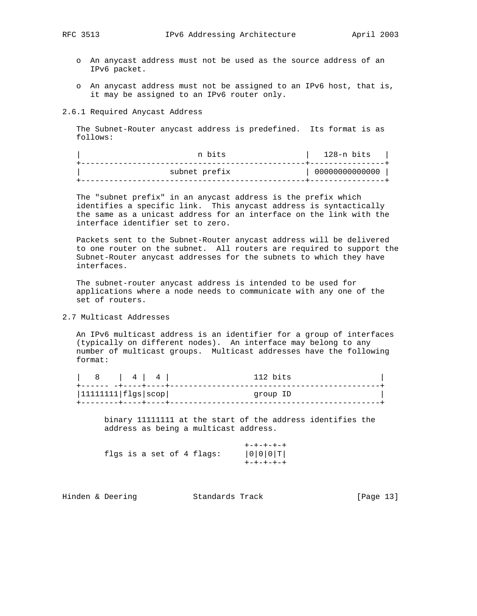- o An anycast address must not be used as the source address of an IPv6 packet.
- o An anycast address must not be assigned to an IPv6 host, that is, it may be assigned to an IPv6 router only.

2.6.1 Required Anycast Address

 The Subnet-Router anycast address is predefined. Its format is as follows:

| n bits        | 128-n bits     |  |
|---------------|----------------|--|
| subnet prefix | 00000000000000 |  |
|               |                |  |

 The "subnet prefix" in an anycast address is the prefix which identifies a specific link. This anycast address is syntactically the same as a unicast address for an interface on the link with the interface identifier set to zero.

 Packets sent to the Subnet-Router anycast address will be delivered to one router on the subnet. All routers are required to support the Subnet-Router anycast addresses for the subnets to which they have interfaces.

 The subnet-router anycast address is intended to be used for applications where a node needs to communicate with any one of the set of routers.

### 2.7 Multicast Addresses

 An IPv6 multicast address is an identifier for a group of interfaces (typically on different nodes). An interface may belong to any number of multicast groups. Multicast addresses have the following format:

|                            |  | 112 bits |
|----------------------------|--|----------|
| $ 11111111 $ flgs $ scop $ |  | qroup ID |
|                            |  |          |

 binary 11111111 at the start of the address identifies the address as being a multicast address.

|  |  |  |                           | $+ - + - + - + - +$  |
|--|--|--|---------------------------|----------------------|
|  |  |  | flgs is a set of 4 flags: | $ 0 0 0 \texttt{T} $ |
|  |  |  |                           | キーキーキーキーキ            |

Hinden & Deering Standards Track [Page 13]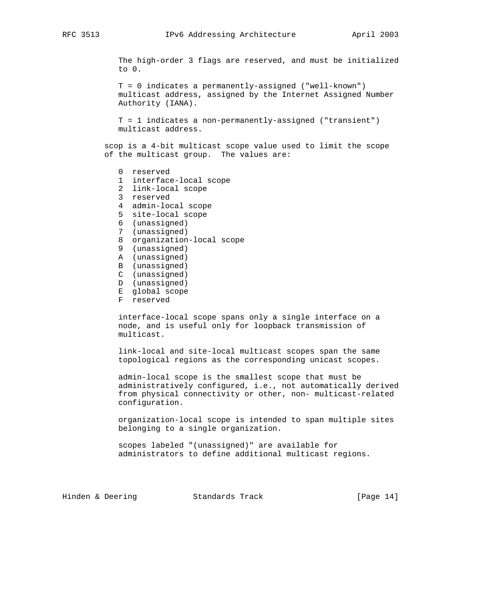The high-order 3 flags are reserved, and must be initialized to 0.

 T = 0 indicates a permanently-assigned ("well-known") multicast address, assigned by the Internet Assigned Number Authority (IANA).

 T = 1 indicates a non-permanently-assigned ("transient") multicast address.

 scop is a 4-bit multicast scope value used to limit the scope of the multicast group. The values are:

- 0 reserved
- 1 interface-local scope
- 2 link-local scope
- 3 reserved
- 4 admin-local scope
- 5 site-local scope
- 6 (unassigned)
- 7 (unassigned)
- 8 organization-local scope
- 9 (unassigned)
- A (unassigned)
- B (unassigned)
- C (unassigned)
- D (unassigned)
- E global scope
- F reserved

 interface-local scope spans only a single interface on a node, and is useful only for loopback transmission of multicast.

 link-local and site-local multicast scopes span the same topological regions as the corresponding unicast scopes.

 admin-local scope is the smallest scope that must be administratively configured, i.e., not automatically derived from physical connectivity or other, non- multicast-related configuration.

 organization-local scope is intended to span multiple sites belonging to a single organization.

 scopes labeled "(unassigned)" are available for administrators to define additional multicast regions.

Hinden & Deering Standards Track [Page 14]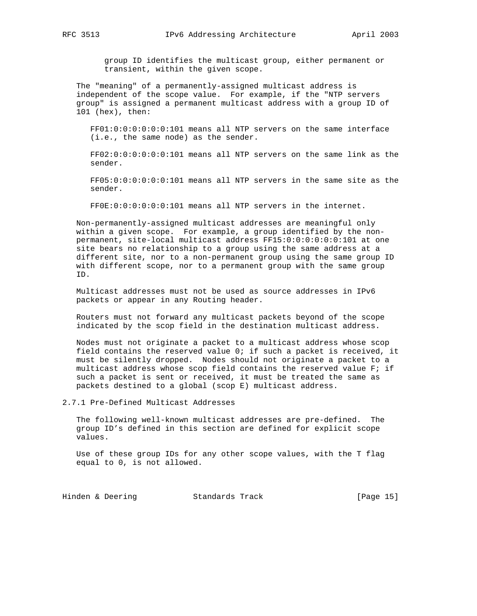group ID identifies the multicast group, either permanent or transient, within the given scope.

 The "meaning" of a permanently-assigned multicast address is independent of the scope value. For example, if the "NTP servers group" is assigned a permanent multicast address with a group ID of 101 (hex), then:

 FF01:0:0:0:0:0:0:101 means all NTP servers on the same interface (i.e., the same node) as the sender.

 FF02:0:0:0:0:0:0:101 means all NTP servers on the same link as the sender.

 FF05:0:0:0:0:0:0:101 means all NTP servers in the same site as the sender.

FF0E:0:0:0:0:0:0:101 means all NTP servers in the internet.

 Non-permanently-assigned multicast addresses are meaningful only within a given scope. For example, a group identified by the non permanent, site-local multicast address FF15:0:0:0:0:0:0:101 at one site bears no relationship to a group using the same address at a different site, nor to a non-permanent group using the same group ID with different scope, nor to a permanent group with the same group ID.

 Multicast addresses must not be used as source addresses in IPv6 packets or appear in any Routing header.

 Routers must not forward any multicast packets beyond of the scope indicated by the scop field in the destination multicast address.

 Nodes must not originate a packet to a multicast address whose scop field contains the reserved value 0; if such a packet is received, it must be silently dropped. Nodes should not originate a packet to a multicast address whose scop field contains the reserved value F; if such a packet is sent or received, it must be treated the same as packets destined to a global (scop E) multicast address.

2.7.1 Pre-Defined Multicast Addresses

 The following well-known multicast addresses are pre-defined. The group ID's defined in this section are defined for explicit scope values.

 Use of these group IDs for any other scope values, with the T flag equal to 0, is not allowed.

Hinden & Deering Standards Track [Page 15]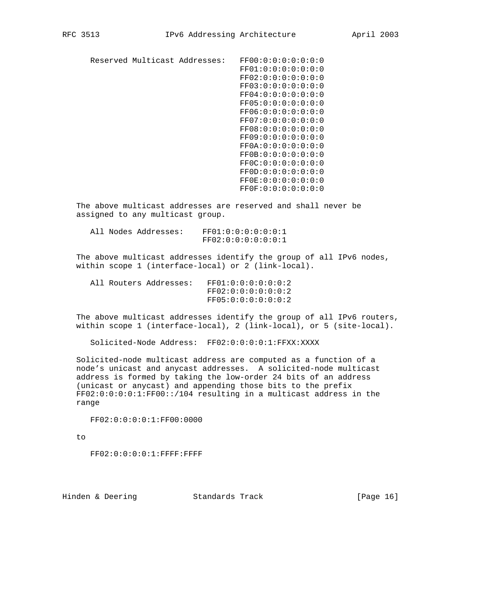Reserved Multicast Addresses: FF00:0:0:0:0:0:0:0

| ncpcive nuiteicape Addicppep. | 1 1 0 0 <b>-</b> 0 <b>-</b> 0 <b>-</b> 0 <b>-</b> 0 <b>-</b> 0 <b>-</b> 0 <b>-</b> 0 |
|-------------------------------|--------------------------------------------------------------------------------------|
|                               | FF01:0:0:0:0:0:0:0:0                                                                 |
|                               | FF02:0:0:0:0:0:0:0:0                                                                 |
|                               | FF03:0:0:0:0:0:0:0:0                                                                 |
|                               | FF04:0:0:0:0:0:0:0:0                                                                 |
|                               | FF05:0:0:0:0:0:0:0:0                                                                 |
|                               | FF06:0:0:0:0:0:0:0:0                                                                 |
|                               | FF07:0:0:0:0:0:0:0:0                                                                 |
|                               | FF08:0:0:0:0:0:0:0:0                                                                 |
|                               | FF09:0:0:0:0:0:0:0:0                                                                 |
|                               | FF0A:0:0:0:0:0:0:0:0                                                                 |
|                               | FFOR:0:0:0:0:0:0:0:0                                                                 |
|                               | FFOC: 0: 0: 0: 0: 0: 0: 0: 0                                                         |
|                               | FFOD:0:0:0:0:0:0:0:0                                                                 |
|                               | FF0E:0:0:0:0:0:0:0:0                                                                 |
|                               | FF0F:0:0:0:0:0:0:0:0                                                                 |

 The above multicast addresses are reserved and shall never be assigned to any multicast group.

| All Nodes Addresses: | FF01:0:0:0:0:0:0:1 |
|----------------------|--------------------|
|                      | FF02:0:0:0:0:0:0:1 |

 The above multicast addresses identify the group of all IPv6 nodes, within scope 1 (interface-local) or 2 (link-local).

|  | All Routers Addresses: | FF01:0:0:0:0:0:0:0:2 |
|--|------------------------|----------------------|
|  |                        | FF02:0:0:0:0:0:0:0:2 |
|  |                        | FF05:0:0:0:0:0:0:0:2 |

 The above multicast addresses identify the group of all IPv6 routers, within scope 1 (interface-local), 2 (link-local), or 5 (site-local).

Solicited-Node Address: FF02:0:0:0:0:1:FFXX:XXXX

 Solicited-node multicast address are computed as a function of a node's unicast and anycast addresses. A solicited-node multicast address is formed by taking the low-order 24 bits of an address (unicast or anycast) and appending those bits to the prefix FF02:0:0:0:0:1:FF00::/104 resulting in a multicast address in the range

FF02:0:0:0:0:1:FF00:0000

to

FF02:0:0:0:0:1:FFFF:FFFF

Hinden & Deering Standards Track [Page 16]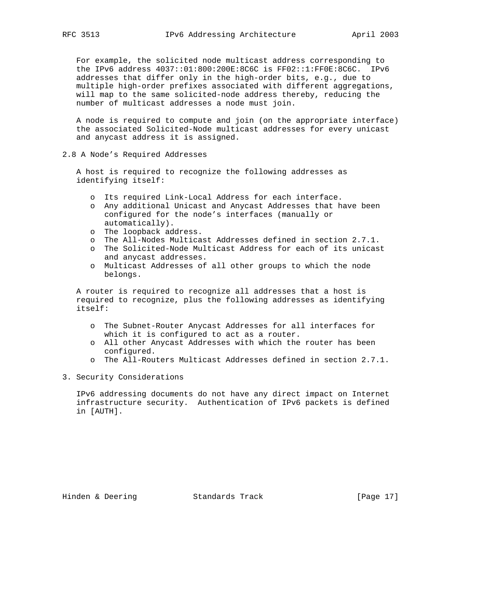For example, the solicited node multicast address corresponding to the IPv6 address 4037::01:800:200E:8C6C is FF02::1:FF0E:8C6C. IPv6 addresses that differ only in the high-order bits, e.g., due to multiple high-order prefixes associated with different aggregations, will map to the same solicited-node address thereby, reducing the number of multicast addresses a node must join.

 A node is required to compute and join (on the appropriate interface) the associated Solicited-Node multicast addresses for every unicast and anycast address it is assigned.

2.8 A Node's Required Addresses

 A host is required to recognize the following addresses as identifying itself:

- o Its required Link-Local Address for each interface.
- o Any additional Unicast and Anycast Addresses that have been configured for the node's interfaces (manually or automatically).
- o The loopback address.
- o The All-Nodes Multicast Addresses defined in section 2.7.1.
- o The Solicited-Node Multicast Address for each of its unicast and anycast addresses.
- o Multicast Addresses of all other groups to which the node belongs.

 A router is required to recognize all addresses that a host is required to recognize, plus the following addresses as identifying itself:

- o The Subnet-Router Anycast Addresses for all interfaces for which it is configured to act as a router.
- o All other Anycast Addresses with which the router has been configured.
- o The All-Routers Multicast Addresses defined in section 2.7.1.
- 3. Security Considerations

 IPv6 addressing documents do not have any direct impact on Internet infrastructure security. Authentication of IPv6 packets is defined in [AUTH].

Hinden & Deering Standards Track [Page 17]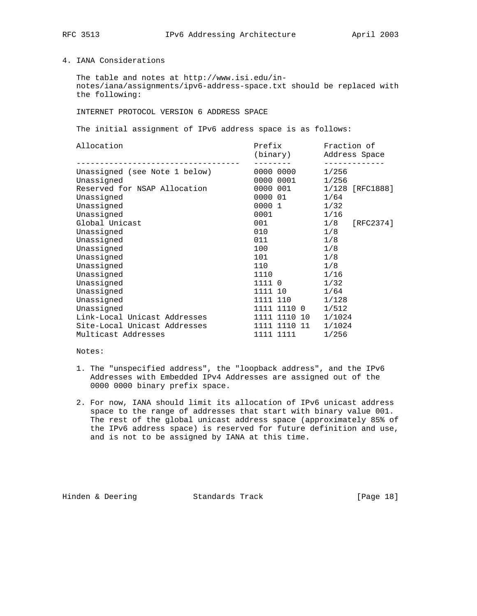# 4. IANA Considerations

 The table and notes at http://www.isi.edu/in notes/iana/assignments/ipv6-address-space.txt should be replaced with the following:

INTERNET PROTOCOL VERSION 6 ADDRESS SPACE

The initial assignment of IPv6 address space is as follows:

| Allocation                    | Prefix<br>(binary) | Fraction of<br>Address Space |
|-------------------------------|--------------------|------------------------------|
| Unassigned (see Note 1 below) | 0000 0000          | 1/256                        |
| Unassigned                    | 0000 0001          | 1/256                        |
| Reserved for NSAP Allocation  | 0000 001           | 1/128 [RFC1888]              |
| Unassigned                    | 0000 01            | 1/64                         |
| Unassigned                    | 0000 1             | 1/32                         |
| Unassigned                    | 0001               | 1/16                         |
| Global Unicast                | 001                | 1/8<br>[RFC2374]             |
| Unassigned                    | 010                | 1/8                          |
| Unassigned                    | 011                | 1/8                          |
| Unassigned                    | 100                | 1/8                          |
| Unassigned                    | 101                | 1/8                          |
| Unassigned                    | 110                | 1/8                          |
| Unassigned                    | 1110               | 1/16                         |
| Unassigned                    | 1111 0             | 1/32                         |
| Unassigned                    | 1111 10            | 1/64                         |
| Unassigned                    | 1111 110           | 1/128                        |
| Unassigned                    | 1111 1110 0        | 1/512                        |
| Link-Local Unicast Addresses  | 1111 1110 10       | 1/1024                       |
| Site-Local Unicast Addresses  | 1111 1110 11       | 1/1024                       |
| Multicast Addresses           | 1111 1111          | 1/256                        |

Notes:

- 1. The "unspecified address", the "loopback address", and the IPv6 Addresses with Embedded IPv4 Addresses are assigned out of the 0000 0000 binary prefix space.
- 2. For now, IANA should limit its allocation of IPv6 unicast address space to the range of addresses that start with binary value 001. The rest of the global unicast address space (approximately 85% of the IPv6 address space) is reserved for future definition and use, and is not to be assigned by IANA at this time.

Hinden & Deering Standards Track [Page 18]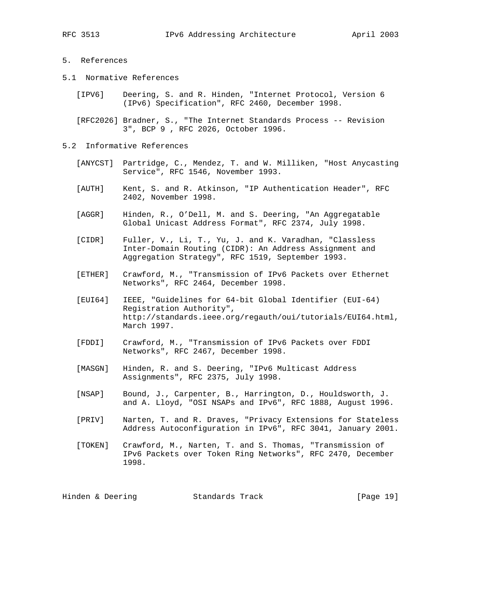## 5. References

- 5.1 Normative References
	- [IPV6] Deering, S. and R. Hinden, "Internet Protocol, Version 6 (IPv6) Specification", RFC 2460, December 1998.

 [RFC2026] Bradner, S., "The Internet Standards Process -- Revision 3", BCP 9 , RFC 2026, October 1996.

#### 5.2 Informative References

- [ANYCST] Partridge, C., Mendez, T. and W. Milliken, "Host Anycasting Service", RFC 1546, November 1993.
- [AUTH] Kent, S. and R. Atkinson, "IP Authentication Header", RFC 2402, November 1998.
- [AGGR] Hinden, R., O'Dell, M. and S. Deering, "An Aggregatable Global Unicast Address Format", RFC 2374, July 1998.
- [CIDR] Fuller, V., Li, T., Yu, J. and K. Varadhan, "Classless Inter-Domain Routing (CIDR): An Address Assignment and Aggregation Strategy", RFC 1519, September 1993.
- [ETHER] Crawford, M., "Transmission of IPv6 Packets over Ethernet Networks", RFC 2464, December 1998.
- [EUI64] IEEE, "Guidelines for 64-bit Global Identifier (EUI-64) Registration Authority", http://standards.ieee.org/regauth/oui/tutorials/EUI64.html, March 1997.
- [FDDI] Crawford, M., "Transmission of IPv6 Packets over FDDI Networks", RFC 2467, December 1998.
- [MASGN] Hinden, R. and S. Deering, "IPv6 Multicast Address Assignments", RFC 2375, July 1998.
- [NSAP] Bound, J., Carpenter, B., Harrington, D., Houldsworth, J. and A. Lloyd, "OSI NSAPs and IPv6", RFC 1888, August 1996.
- [PRIV] Narten, T. and R. Draves, "Privacy Extensions for Stateless Address Autoconfiguration in IPv6", RFC 3041, January 2001.
- [TOKEN] Crawford, M., Narten, T. and S. Thomas, "Transmission of IPv6 Packets over Token Ring Networks", RFC 2470, December 1998.

Hinden & Deering Standards Track [Page 19]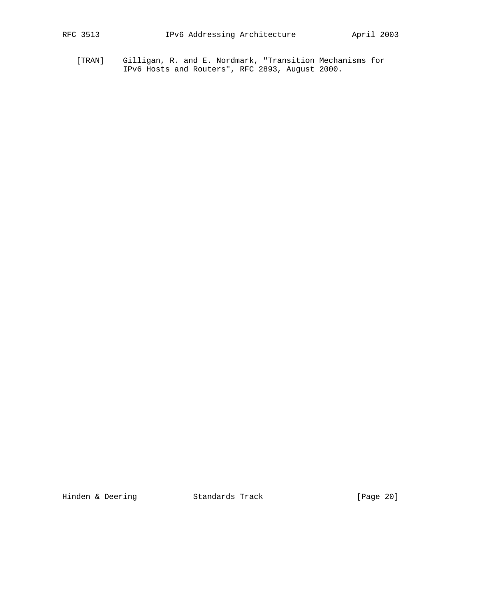[TRAN] Gilligan, R. and E. Nordmark, "Transition Mechanisms for IPv6 Hosts and Routers", RFC 2893, August 2000.

Hinden & Deering Standards Track [Page 20]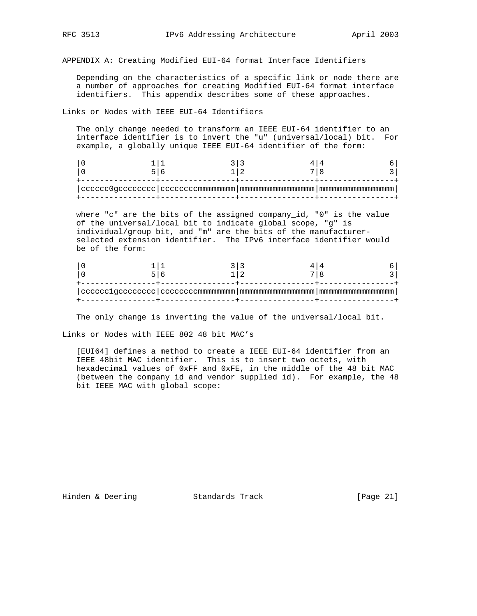APPENDIX A: Creating Modified EUI-64 format Interface Identifiers

 Depending on the characteristics of a specific link or node there are a number of approaches for creating Modified EUI-64 format interface identifiers. This appendix describes some of these approaches.

Links or Nodes with IEEE EUI-64 Identifiers

The only change needed to transform an IEEE EUI-64 identifier to an interface identifier is to invert the "u" (universal/local) bit. For example, a globally unique IEEE EUI-64 identifier of the form:

 where "c" are the bits of the assigned company\_id, "0" is the value of the universal/local bit to indicate global scope, "g" is individual/group bit, and "m" are the bits of the manufacturer selected extension identifier. The IPv6 interface identifier would be of the form:

The only change is inverting the value of the universal/local bit.

Links or Nodes with IEEE 802 48 bit MAC's

 [EUI64] defines a method to create a IEEE EUI-64 identifier from an IEEE 48bit MAC identifier. This is to insert two octets, with hexadecimal values of 0xFF and 0xFE, in the middle of the 48 bit MAC (between the company\_id and vendor supplied id). For example, the 48 bit IEEE MAC with global scope:

Hinden & Deering Standards Track [Page 21]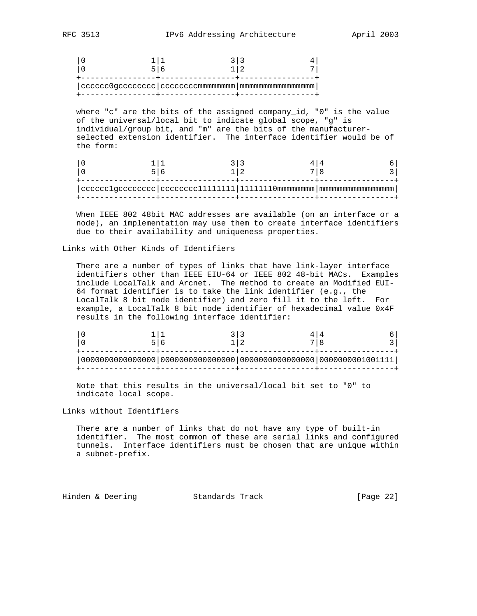where "c" are the bits of the assigned company\_id, "0" is the value of the universal/local bit to indicate global scope, "g" is individual/group bit, and "m" are the bits of the manufacturer selected extension identifier. The interface identifier would be of the form:

| $ {\rm cccccc1gcccccccc  }$ $ {\rm cccccc11111111} \,11111110$ mmmmmmmm $ $ mmmmmmmmmmmmmmmm |  |  |  |
|----------------------------------------------------------------------------------------------|--|--|--|
|                                                                                              |  |  |  |
|                                                                                              |  |  |  |

 When IEEE 802 48bit MAC addresses are available (on an interface or a node), an implementation may use them to create interface identifiers due to their availability and uniqueness properties.

Links with Other Kinds of Identifiers

 There are a number of types of links that have link-layer interface identifiers other than IEEE EIU-64 or IEEE 802 48-bit MACs. Examples include LocalTalk and Arcnet. The method to create an Modified EUI- 64 format identifier is to take the link identifier (e.g., the LocalTalk 8 bit node identifier) and zero fill it to the left. For example, a LocalTalk 8 bit node identifier of hexadecimal value 0x4F results in the following interface identifier:

| 516 |  | 414 |
|-----|--|-----|
|     |  |     |

 Note that this results in the universal/local bit set to "0" to indicate local scope.

Links without Identifiers

 There are a number of links that do not have any type of built-in identifier. The most common of these are serial links and configured tunnels. Interface identifiers must be chosen that are unique within a subnet-prefix.

Hinden & Deering Standards Track [Page 22]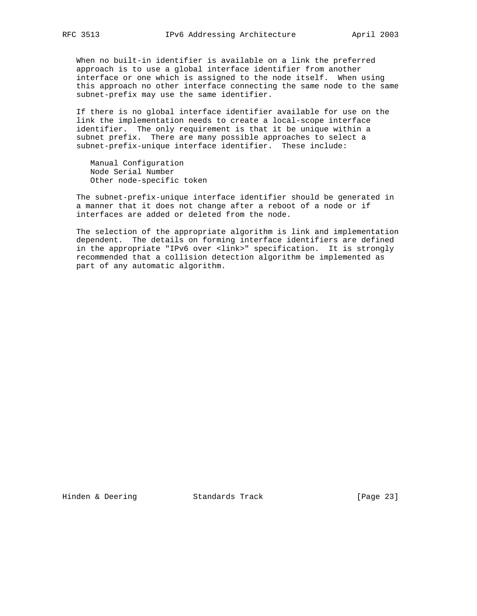When no built-in identifier is available on a link the preferred approach is to use a global interface identifier from another interface or one which is assigned to the node itself. When using this approach no other interface connecting the same node to the same subnet-prefix may use the same identifier.

 If there is no global interface identifier available for use on the link the implementation needs to create a local-scope interface identifier. The only requirement is that it be unique within a subnet prefix. There are many possible approaches to select a subnet-prefix-unique interface identifier. These include:

 Manual Configuration Node Serial Number Other node-specific token

 The subnet-prefix-unique interface identifier should be generated in a manner that it does not change after a reboot of a node or if interfaces are added or deleted from the node.

 The selection of the appropriate algorithm is link and implementation dependent. The details on forming interface identifiers are defined in the appropriate "IPv6 over <link>" specification. It is strongly recommended that a collision detection algorithm be implemented as part of any automatic algorithm.

Hinden & Deering Standards Track [Page 23]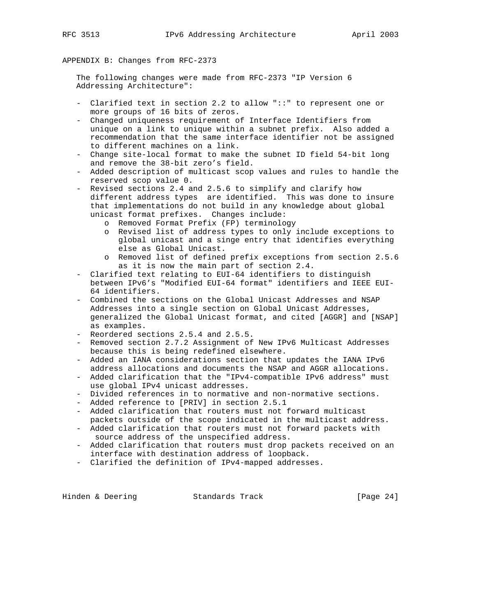APPENDIX B: Changes from RFC-2373

 The following changes were made from RFC-2373 "IP Version 6 Addressing Architecture":

- Clarified text in section 2.2 to allow "::" to represent one or more groups of 16 bits of zeros.
- Changed uniqueness requirement of Interface Identifiers from unique on a link to unique within a subnet prefix. Also added a recommendation that the same interface identifier not be assigned to different machines on a link.
- Change site-local format to make the subnet ID field 54-bit long and remove the 38-bit zero's field.
- Added description of multicast scop values and rules to handle the reserved scop value 0.
- Revised sections 2.4 and 2.5.6 to simplify and clarify how different address types are identified. This was done to insure that implementations do not build in any knowledge about global unicast format prefixes. Changes include:
	- o Removed Format Prefix (FP) terminology
	- o Revised list of address types to only include exceptions to global unicast and a singe entry that identifies everything else as Global Unicast.
	- o Removed list of defined prefix exceptions from section 2.5.6 as it is now the main part of section 2.4.
- Clarified text relating to EUI-64 identifiers to distinguish between IPv6's "Modified EUI-64 format" identifiers and IEEE EUI- 64 identifiers.
- Combined the sections on the Global Unicast Addresses and NSAP Addresses into a single section on Global Unicast Addresses, generalized the Global Unicast format, and cited [AGGR] and [NSAP] as examples.
- Reordered sections 2.5.4 and 2.5.5.
- Removed section 2.7.2 Assignment of New IPv6 Multicast Addresses because this is being redefined elsewhere.
- Added an IANA considerations section that updates the IANA IPv6 address allocations and documents the NSAP and AGGR allocations.
- Added clarification that the "IPv4-compatible IPv6 address" must use global IPv4 unicast addresses.
- Divided references in to normative and non-normative sections.
- Added reference to [PRIV] in section 2.5.1
- Added clarification that routers must not forward multicast packets outside of the scope indicated in the multicast address.
- Added clarification that routers must not forward packets with source address of the unspecified address.
- Added clarification that routers must drop packets received on an interface with destination address of loopback.
- Clarified the definition of IPv4-mapped addresses.

Hinden & Deering Standards Track [Page 24]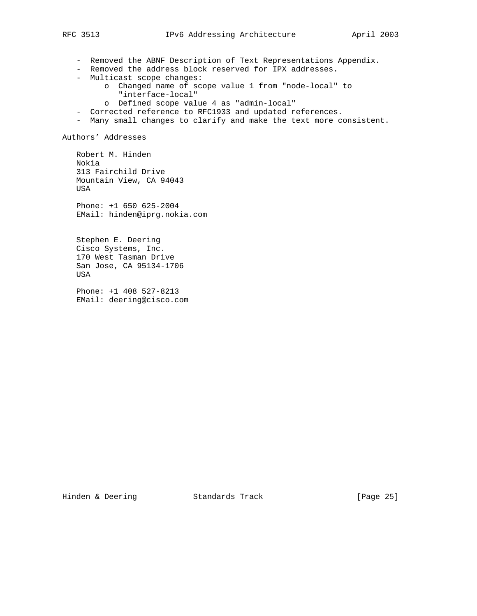- Removed the ABNF Description of Text Representations Appendix.
- Removed the address block reserved for IPX addresses.
- Multicast scope changes:
	- o Changed name of scope value 1 from "node-local" to "interface-local"
	- o Defined scope value 4 as "admin-local"
- Corrected reference to RFC1933 and updated references.
- Many small changes to clarify and make the text more consistent.

Authors' Addresses

 Robert M. Hinden Nokia 313 Fairchild Drive Mountain View, CA 94043 USA

 Phone: +1 650 625-2004 EMail: hinden@iprg.nokia.com

 Stephen E. Deering Cisco Systems, Inc. 170 West Tasman Drive San Jose, CA 95134-1706 USA

 Phone: +1 408 527-8213 EMail: deering@cisco.com

Hinden & Deering Standards Track [Page 25]